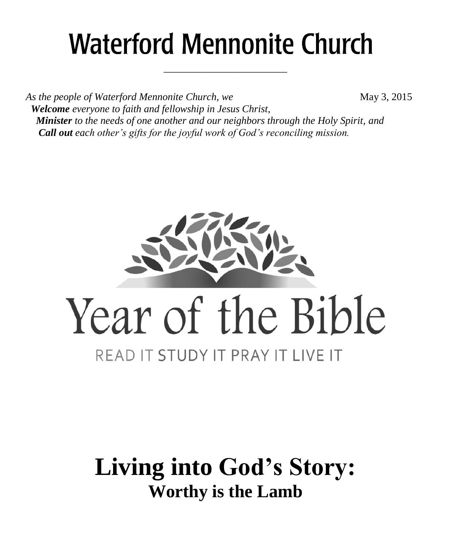# **Waterford Mennonite Church**

\_\_\_\_\_\_\_\_\_\_\_\_\_\_\_\_\_\_\_\_\_\_\_\_

As the people of Waterford Mennonite Church, we **May 3, 2015**  *Welcome everyone to faith and fellowship in Jesus Christ, Minister to the needs of one another and our neighbors through the Holy Spirit, and Call out each other's gifts for the joyful work of God's reconciling mission.*



## **Living into God's Story: Worthy is the Lamb**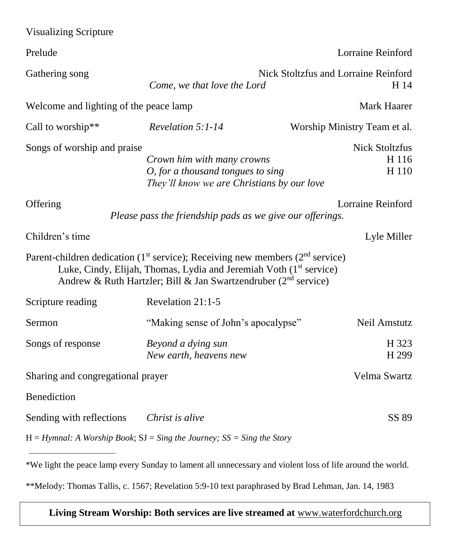| <b>Visualizing Scripture</b>                                                               |                                                                                                                                                                                                                                                      |                                         |  |
|--------------------------------------------------------------------------------------------|------------------------------------------------------------------------------------------------------------------------------------------------------------------------------------------------------------------------------------------------------|-----------------------------------------|--|
| Prelude                                                                                    | Lorraine Reinford                                                                                                                                                                                                                                    |                                         |  |
| Gathering song                                                                             | Nick Stoltzfus and Lorraine Reinford<br>H 14<br>Come, we that love the Lord                                                                                                                                                                          |                                         |  |
| Welcome and lighting of the peace lamp                                                     |                                                                                                                                                                                                                                                      | Mark Haarer                             |  |
| Call to worship**                                                                          | Revelation 5:1-14                                                                                                                                                                                                                                    | Worship Ministry Team et al.            |  |
| Songs of worship and praise                                                                | Crown him with many crowns<br>O, for a thousand tongues to sing<br>They'll know we are Christians by our love                                                                                                                                        | <b>Nick Stoltzfus</b><br>H 116<br>H 110 |  |
| Offering<br>Lorraine Reinford<br>Please pass the friendship pads as we give our offerings. |                                                                                                                                                                                                                                                      |                                         |  |
| Children's time                                                                            |                                                                                                                                                                                                                                                      | Lyle Miller                             |  |
|                                                                                            | Parent-children dedication ( $1st$ service); Receiving new members ( $2nd$ service)<br>Luke, Cindy, Elijah, Thomas, Lydia and Jeremiah Voth (1 <sup>st</sup> service)<br>Andrew & Ruth Hartzler; Bill & Jan Swartzendruber (2 <sup>nd</sup> service) |                                         |  |
| Scripture reading                                                                          | Revelation 21:1-5                                                                                                                                                                                                                                    |                                         |  |
| Sermon                                                                                     | "Making sense of John's apocalypse"                                                                                                                                                                                                                  | Neil Amstutz                            |  |
| Songs of response                                                                          | Beyond a dying sun<br>New earth, heavens new                                                                                                                                                                                                         | H 323<br>H <sub>299</sub>               |  |
| Sharing and congregational prayer                                                          |                                                                                                                                                                                                                                                      | Velma Swartz                            |  |
| Benediction                                                                                |                                                                                                                                                                                                                                                      |                                         |  |
| Sending with reflections                                                                   | Christ is alive                                                                                                                                                                                                                                      | SS 89                                   |  |
|                                                                                            | $H = Hymnal$ : A Worship Book; $SI = Sing$ the Journey; $SS = Sing$ the Story                                                                                                                                                                        |                                         |  |
|                                                                                            | $*W_{\alpha}$ light the neace lamp every Sunday to lament all unnecessary and violent loss of life around the world                                                                                                                                  |                                         |  |

We light the peace lamp every Sunday to lament all unnecessary and violent loss of life around the world.

\*\*Melody: Thomas Tallis, c. 1567; Revelation 5:9-10 text paraphrased by Brad Lehman, Jan. 14, 1983

**Living Stream Worship: Both services are live streamed at** [www.waterfordchurch.org](http://www.waterfordchurch.org/)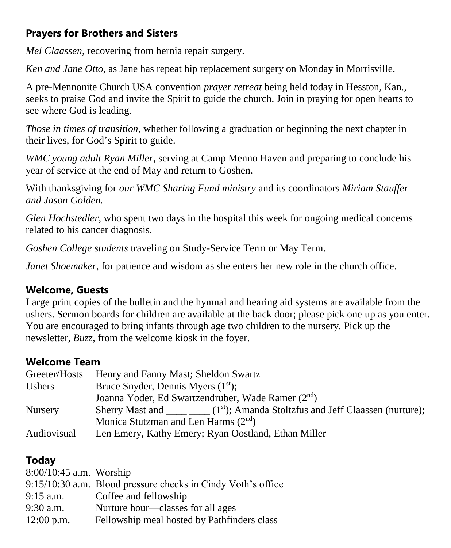### **Prayers for Brothers and Sisters**

*Mel Claassen*, recovering from hernia repair surgery.

*Ken and Jane Otto,* as Jane has repeat hip replacement surgery on Monday in Morrisville.

A pre-Mennonite Church USA convention *prayer retreat* being held today in Hesston, Kan., seeks to praise God and invite the Spirit to guide the church. Join in praying for open hearts to see where God is leading.

*Those in times of transition,* whether following a graduation or beginning the next chapter in their lives, for God's Spirit to guide.

*WMC young adult Ryan Miller,* serving at Camp Menno Haven and preparing to conclude his year of service at the end of May and return to Goshen.

With thanksgiving for *our WMC Sharing Fund ministry* and its coordinators *Miriam Stauffer and Jason Golden.*

*Glen Hochstedler*, who spent two days in the hospital this week for ongoing medical concerns related to his cancer diagnosis.

*Goshen College students* traveling on Study-Service Term or May Term.

*Janet Shoemaker*, for patience and wisdom as she enters her new role in the church office.

#### **Welcome, Guests**

Large print copies of the bulletin and the hymnal and hearing aid systems are available from the ushers. Sermon boards for children are available at the back door; please pick one up as you enter. You are encouraged to bring infants through age two children to the nursery. Pick up the newsletter, *Buzz,* from the welcome kiosk in the foyer.

#### **Welcome Team**

| Greeter/Hosts      | Henry and Fanny Mast; Sheldon Swartz                                    |
|--------------------|-------------------------------------------------------------------------|
| Ushers             | Bruce Snyder, Dennis Myers $(1st)$ ;                                    |
|                    | Joanna Yoder, Ed Swartzendruber, Wade Ramer (2nd)                       |
| <b>Nursery</b>     | Sherry Mast and $(1st)$ ; Amanda Stoltzfus and Jeff Claassen (nurture); |
|                    | Monica Stutzman and Len Harms $(2nd)$                                   |
| <b>Audiovisual</b> | Len Emery, Kathy Emery; Ryan Oostland, Ethan Miller                     |

#### **Today**

| 8:00/10:45 a.m. Worship                                      |
|--------------------------------------------------------------|
| 9:15/10:30 a.m. Blood pressure checks in Cindy Voth's office |
| Coffee and fellowship                                        |
| Nurture hour—classes for all ages                            |
| Fellowship meal hosted by Pathfinders class                  |
|                                                              |